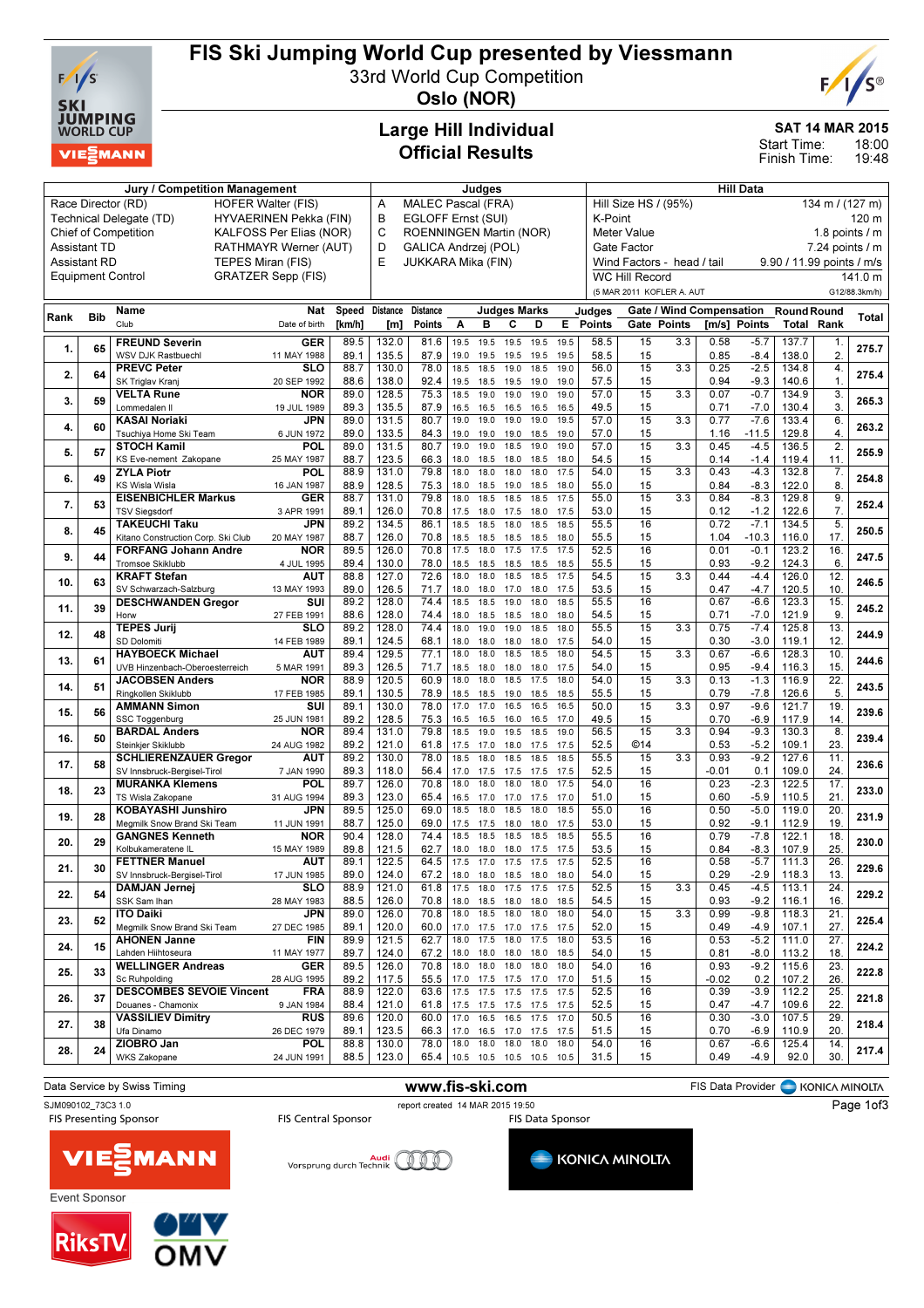

## FIS Ski Jumping World Cup presented by Viessmann

33rd World Cup Competition



Oslo (NOR)

## Large Hill Individual Official Results

#### SAT 14 MAR 2015

18:00 Start Time:

19:48 Finish Time:

| <b>Jury / Competition Management</b>         |                                                                           |                                                    |                           |                    |                 | Judges                                                                        |                         |                |                              |              |                  | <b>Hill Data</b>        |                                         |     |                                 |                   |                                         |                        |               |
|----------------------------------------------|---------------------------------------------------------------------------|----------------------------------------------------|---------------------------|--------------------|-----------------|-------------------------------------------------------------------------------|-------------------------|----------------|------------------------------|--------------|------------------|-------------------------|-----------------------------------------|-----|---------------------------------|-------------------|-----------------------------------------|------------------------|---------------|
|                                              | Race Director (RD)<br><b>HOFER Walter (FIS)</b><br>HYVAERINEN Pekka (FIN) |                                                    |                           |                    |                 |                                                                               | MALEC Pascal (FRA)<br>Α |                |                              |              |                  |                         | Hill Size HS / (95%)<br>134 m / (127 m) |     |                                 |                   |                                         |                        |               |
|                                              |                                                                           | Technical Delegate (TD)                            | B                         | EGLOFF Ernst (SUI) |                 |                                                                               |                         |                |                              |              | K-Point<br>120 m |                         |                                         |     |                                 |                   |                                         |                        |               |
|                                              | <b>Chief of Competition</b><br>KALFOSS Per Elias (NOR)                    |                                                    |                           |                    |                 |                                                                               |                         |                | ROENNINGEN Martin (NOR)      |              |                  |                         | <b>Meter Value</b>                      |     |                                 |                   |                                         | 1.8 points $\sqrt{}$ m |               |
| RATHMAYR Werner (AUT)<br><b>Assistant TD</b> |                                                                           |                                                    |                           |                    |                 | GALICA Andrzej (POL)                                                          |                         |                |                              |              |                  |                         | Gate Factor                             |     |                                 |                   |                                         | $7.24$ points $/ m$    |               |
|                                              | <b>Assistant RD</b>                                                       | TEPES Miran (FIS)                                  |                           |                    | E               | JUKKARA Mika (FIN)<br>Wind Factors - head / tail<br>9.90 / 11.99 points / m/s |                         |                |                              |              |                  |                         |                                         |     |                                 |                   |                                         |                        |               |
|                                              |                                                                           | <b>Equipment Control</b>                           | <b>GRATZER Sepp (FIS)</b> |                    |                 |                                                                               |                         |                |                              |              |                  |                         | <b>WC Hill Record</b>                   |     |                                 |                   |                                         |                        | 141.0 m       |
|                                              |                                                                           |                                                    |                           |                    |                 |                                                                               |                         |                |                              |              |                  |                         | (5 MAR 2011 KOFLER A. AUT               |     |                                 |                   |                                         |                        | G12/88.3km/h) |
|                                              |                                                                           | Name                                               | Nat                       | Speed              | <b>Distance</b> | <b>Distance</b>                                                               |                         |                | <b>Judges Marks</b>          |              |                  |                         |                                         |     | <b>Gate / Wind Compensation</b> |                   |                                         |                        |               |
| Rank                                         | <b>Bib</b>                                                                | Club                                               | Date of birth             | [km/h]             | [m]             | <b>Points</b>                                                                 | Α                       | в              | C                            | D            | E.               | Judges<br><b>Points</b> | Gate Points                             |     |                                 | [m/s] Points      | <b>Round Round</b><br><b>Total Rank</b> |                        | Total         |
|                                              |                                                                           |                                                    |                           |                    |                 |                                                                               |                         |                |                              |              |                  |                         |                                         |     |                                 |                   |                                         |                        |               |
| 1.                                           | 65                                                                        | <b>FREUND Severin</b>                              | <b>GER</b>                | 89.5               | 132.0           | 81.6                                                                          | 19.5                    | 19.5           | 19.5                         | 19.5         | 19.5             | 58.5                    | 15                                      | 3.3 | 0.58                            | $-5.7$            | 137.7                                   | 1.                     | 275.7         |
|                                              |                                                                           | WSV DJK Rastbuechl<br><b>PREVC Peter</b>           | 11 MAY 1988<br>SLO        | 89.1<br>88.7       | 135.5<br>130.0  | 87.9<br>78.0                                                                  | 19.0<br>18.5            | 19.5<br>18.5   | 19.5<br>19.0                 | 19.5<br>18.5 | 19.5<br>19.0     | 58.5<br>56.0            | 15<br>15                                | 3.3 | 0.85<br>0.25                    | $-8.4$<br>$-2.5$  | 138.0<br>134.8                          | 2.<br>4.               |               |
| 2.                                           | 64                                                                        | SK Triglav Kranj                                   | 20 SEP 1992               | 88.6               | 138.0           | 92.4                                                                          | 19.5                    | 18.5           | 19.5                         | 19.0         | 19.0             | 57.5                    | 15                                      |     | 0.94                            | $-9.3$            | 140.6                                   | $\mathbf 1$ .          | 275.4         |
|                                              |                                                                           | <b>VELTA Rune</b>                                  | <b>NOR</b>                | 89.0               | 128.5           | 75.3                                                                          | 18.5                    | 19.0           | 19.0                         | 19.0         | 19.0             | 57.0                    | 15                                      | 3.3 | 0.07                            | $-0.7$            | 134.9                                   | 3.                     |               |
| 3.                                           | 59                                                                        | Lommedalen II                                      | 19 JUL 1989               | 89.3               | 135.5           | 87.9                                                                          | 16.5                    | 16.5           | 16.5                         | 16.5         | 16.5             | 49.5                    | 15                                      |     | 0.71                            | $-7.0$            | 130.4                                   | 3.                     | 265.3         |
|                                              |                                                                           | <b>KASAI Noriaki</b>                               | <b>JPN</b>                | 89.0               | 131.5           | 80.7                                                                          | 19.0                    | 19.0           | 19.0                         | 19.0         | 19.5             | 57.0                    | 15                                      | 3.3 | 0.77                            | $-7.6$            | 133.4                                   | 6.                     |               |
| 4.                                           | 60                                                                        | Tsuchiya Home Ski Team                             | 6 JUN 1972                | 89.0               | 133.5           | 84.3                                                                          | 19.0                    | 19.0           | 19.0                         | 18.5         | 19.0             | 57.0                    | 15                                      |     | 1.16                            | $-11.5$           | 129.8                                   | $\overline{4}$         | 263.2         |
|                                              |                                                                           | <b>STOCH Kamil</b>                                 | POL                       | 89.0               | 131.5           | 80.7                                                                          | 19.0                    | 19.0           | 18.5                         | 19.0         | 19.0             | 57.0                    | 15                                      | 3.3 | 0.45                            | $-4.5$            | 136.5                                   | $\overline{2}$         |               |
| 5.                                           | 57                                                                        | KS Eve-nement Zakopane                             | 25 MAY 1987               | 88.7               | 123.5           | 66.3                                                                          | 18.0                    | 18.5           | 18.0                         | 18.5         | 18.0             | 54.5                    | 15                                      |     | 0.14                            | $-1.4$            | 119.4                                   | 11.                    | 255.9         |
| 6.                                           | 49                                                                        | <b>ZYLA Piotr</b>                                  | POL                       | 88.9               | 131.0           | 79.8                                                                          | 18.0                    | 18.0           | 18.0                         | 18.0         | 17.5             | 54.0                    | 15                                      | 3.3 | 0.43                            | $-4.3$            | 132.8                                   | 7.                     | 254.8         |
|                                              |                                                                           | KS Wisla Wisla                                     | 16 JAN 1987               | 88.9               | 128.5           | 75.3                                                                          | 18.0                    | 18.5           | 19.0                         | 18.5         | 18.0             | 55.0                    | 15                                      |     | 0.84                            | $-8.3$            | 122.0                                   | 8.                     |               |
| 7.                                           | 53                                                                        | <b>EISENBICHLER Markus</b>                         | <b>GER</b>                | 88.7               | 131.0           | 79.8                                                                          | 18.0                    | 18.5           | 18.5                         | 18.5         | 17.5             | 55.0                    | 15                                      | 3.3 | 0.84                            | $-8.3$            | 129.8                                   | 9.                     | 252.4         |
|                                              |                                                                           | <b>TSV Siegsdorf</b>                               | 3 APR 1991                | 89.1               | 126.0           | 70.8                                                                          | 17.5                    | 18.0           | 17.5                         | 18.0         | 17.5             | 53.0                    | 15                                      |     | 0.12                            | $-1.2$            | 122.6                                   | $\overline{7}$         |               |
| 8.                                           | 45                                                                        | <b>TAKEUCHI Taku</b>                               | <b>JPN</b>                | 89.2               | 134.5           | 86.1                                                                          | 18.5                    | 18.5           | 18.0                         | 18.5         | 18.5             | 55.5                    | 16                                      |     | 0.72                            | $-7.1$            | 134.5                                   | 5.                     | 250.5         |
|                                              |                                                                           | Kitano Construction Corp. Ski Club                 | 20 MAY 1987               | 88.7<br>89.5       | 126.0           | 70.8<br>70.8                                                                  | 18.5                    | 18.5<br>18.0   | 18.5<br>17.5                 | 18.5         | 18.0<br>17.5     | 55.5<br>52.5            | 15<br>16                                |     | 1.04<br>0.01                    | $-10.3$<br>$-0.1$ | 116.0                                   | 17.                    |               |
| 9.                                           | 44                                                                        | <b>FORFANG Johann Andre</b><br>Tromsoe Skiklubb    | <b>NOR</b><br>4 JUL 1995  | 89.4               | 126.0<br>130.0  | 78.0                                                                          | 17.5<br>18.5            | 18.5           | 18.5                         | 17.5<br>18.5 | 18.5             | 55.5                    | 15                                      |     | 0.93                            | $-9.2$            | 123.2<br>124.3                          | 16.<br>6.              | 247.5         |
|                                              |                                                                           | <b>KRAFT Stefan</b>                                | AUT                       | 88.8               | 127.0           | 72.6                                                                          | 18.0                    | 18.0           | 18.5                         | 18.5         | 17.5             | 54.5                    | 15                                      | 3.3 | 0.44                            | $-4.4$            | 126.0                                   | 12                     |               |
| 10.                                          | 63                                                                        | SV Schwarzach-Salzburg                             | 13 MAY 1993               | 89.0               | 126.5           | 71.7                                                                          | 18.0                    | 18.0           | 17.0                         | 18.0         | 17.5             | 53.5                    | 15                                      |     | 0.47                            | $-4.7$            | 120.5                                   | 10.                    | 246.5         |
|                                              |                                                                           | <b>DESCHWANDEN Gregor</b>                          | SUI                       | 89.2               | 128.0           | 74.4                                                                          | 18.5                    | 18.5           | 19.0                         | 18.0         | 18.5             | 55.5                    | 16                                      |     | 0.67                            | $-6.6$            | 123.3                                   | 15.                    |               |
| 11.                                          | 39                                                                        | Horw                                               | 27 FEB 1991               | 88.6               | 128.0           | 74.4                                                                          | 18.0                    | 18.5           | 18.5                         | 18.0         | 18.0             | 54.5                    | 15                                      |     | 0.71                            | $-7.0$            | 121.9                                   | 9.                     | 245.2         |
|                                              |                                                                           | <b>TEPES Jurij</b>                                 | <b>SLO</b>                | 89.2               | 128.0           | 74.4                                                                          | 18.0                    | 19.0           | 19.0                         | 18.5         | 18.0             | 55.5                    | 15                                      | 3.3 | 0.75                            | $-7.4$            | 125.8                                   | 13.                    |               |
| 12.                                          | 48                                                                        | SD Dolomiti                                        | 14 FEB 1989               | 89.1               | 124.5           | 68.1                                                                          | 18.0                    | 18.0           | 18.0                         | 18.0         | 17.5             | 54.0                    | 15                                      |     | 0.30                            | $-3.0$            | 119.1                                   | 12.                    | 244.9         |
| 13.                                          | 61                                                                        | <b>HAYBOECK Michael</b>                            | AUT                       | 89.4               | 129.5           | 77.1                                                                          | 18.0                    | 18.0           | 18.5                         | 18.5         | 18.0             | 54.5                    | 15                                      | 3.3 | 0.67                            | $-6.6$            | 128.3                                   | 10.                    | 244.6         |
|                                              |                                                                           | UVB Hinzenbach-Oberoesterreich                     | 5 MAR 1991                | 89.3               | 126.5           | 71.7                                                                          | 18.5                    | 18.0           | 18.0                         | 18.0         | 17.5             | 54.0                    | 15                                      |     | 0.95                            | $-9.4$            | 116.3                                   | 15                     |               |
| 14.                                          | 51                                                                        | <b>JACOBSEN Anders</b>                             | <b>NOR</b>                | 88.9               | 120.5           | 60.9                                                                          | 18.0                    | 18.0           | 18.5                         | 17.5         | 18.0             | 54.0                    | 15                                      | 3.3 | 0.13                            | $-1.3$            | 116.9                                   | $\overline{22}$        | 243.5         |
|                                              |                                                                           | Ringkollen Skiklubb                                | 17 FEB 1985               | 89.1               | 130.5           | 78.9                                                                          | 18.5                    | 18.5           | 19.0                         | 18.5         | 18.5             | 55.5                    | 15                                      |     | 0.79                            | $-7.8$            | 126.6                                   | 5.                     |               |
| 15.                                          | 56                                                                        | <b>AMMANN Simon</b>                                | SUI                       | 89.1               | 130.0           | 78.0                                                                          | 17.0                    | 17.0           | 16.5                         | 16.5         | 16.5             | 50.0                    | 15                                      | 3.3 | 0.97                            | $-9.6$            | 121.7                                   | 19                     | 239.6         |
|                                              |                                                                           | SSC Toggenburg                                     | 25 JUN 1981               | 89.2               | 128.5           | 75.3                                                                          | 16.5                    | 16.5           | 16.0                         | 16.5         | 17.0             | 49.5                    | 15                                      |     | 0.70                            | $-6.9$            | 117.9                                   | 14.                    |               |
| 16.                                          | 50                                                                        | <b>BARDAL Anders</b>                               | <b>NOR</b>                | 89.4               | 131.0           | 79.8                                                                          | 18.5                    | 19.0           | 19.5                         | 18.5         | 19.0             | 56.5                    | 15<br>©14                               | 3.3 | 0.94                            | $-9.3$            | 130.3                                   | 8.<br>23.              | 239.4         |
|                                              |                                                                           | Steinkjer Skiklubb<br><b>SCHLIERENZAUER Gregor</b> | 24 AUG 1982<br>AUT        | 89.2<br>89.2       | 121.0<br>130.0  | 61.8<br>78.0                                                                  | 17.5<br>18.5            | 17.0<br>18.0   | 18.0<br>18.5                 | 17.5<br>18.5 | 17.5<br>18.5     | 52.5<br>55.5            | 15                                      | 3.3 | 0.53<br>0.93                    | $-5.2$<br>$-9.2$  | 109.1<br>127.6                          | 11.                    |               |
| 17.                                          | 58                                                                        | SV Innsbruck-Bergisel-Tirol                        | 7 JAN 1990                | 89.3               | 118.0           | 56.4                                                                          | 17.0                    | 17.5           | 17.5                         | 17.5         | 17.5             | 52.5                    | 15                                      |     | $-0.01$                         | 0.1               | 109.0                                   | 24.                    | 236.6         |
|                                              |                                                                           | <b>MURANKA Klemens</b>                             | POL                       | 89.7               | 126.0           | 70.8                                                                          | 18.0                    | 18.0           | 18.0                         | 18.0         | 17.5             | 54.0                    | 16                                      |     | 0.23                            | $-2.3$            | 122.5                                   | 17.                    |               |
| 18.                                          | 23                                                                        | TS Wisla Zakopane                                  | 31 AUG 1994               | 89.3               | 123.0           | 65.4                                                                          | 16.5                    | 17.0           | 17.0                         | 17.5         | 17.0             | 51.0                    | 15                                      |     | 0.60                            | $-5.9$            | 110.5                                   | 21.                    | 233.0         |
|                                              |                                                                           | <b>KOBAYASHI Junshiro</b>                          | JPN                       | 89.5               | 125.0           | 69.0                                                                          | 18.5                    | 18.0           | 18.5                         | 18.0         | 18.5             | 55.0                    | 16                                      |     | 0.50                            | $-5.0$            | 119.0                                   | 20                     |               |
| 19.                                          | 28                                                                        | Megmilk Snow Brand Ski Team                        | 11 JUN 1991               | 88.7               | 125.0           | 69.0                                                                          | 17.5                    | 17.5           | 18.0                         | 18.0         | 17.5             | 53.0                    | 15                                      |     | 0.92                            | $-9.1$            | 112.9                                   | 19.                    | 231.9         |
|                                              |                                                                           | <b>GANGNES Kenneth</b>                             | <b>NOR</b>                | 90.4               | 128.0           | 74.4                                                                          | 18.5                    | 18.5           | 18.5                         | 18.5         | 18.5             | 55.5                    | 16                                      |     | 0.79                            | $-7.8$            | 122.1                                   | 18                     |               |
| 20.                                          | 29                                                                        | Kolbukameratene IL                                 | 15 MAY 1989               | 89.8               | 121.5           | 62.7                                                                          | 18.0                    | 18.0           | 18.0                         | 17.5         | 17.5             | 53.5                    | 15                                      |     | 0.84                            | $-8.3$            | 107.9                                   | 25.                    | 230.0         |
| 21.                                          | 30                                                                        | <b>FETTNER Manuel</b>                              | AUT                       | 89.1               | 122.5           | 64.5                                                                          | 17.5                    | 17.0           | 17.5                         | 17.5         | 17.5             | 52.5                    | 16                                      |     | 0.58                            | $-5.7$            | 111.3                                   | 26.                    | 229.6         |
|                                              |                                                                           | SV Innsbruck-Bergisel-Tirol                        | 17 JUN 1985               | 89.0               | 124.0           | 67.2                                                                          |                         |                | 18.0 18.0 18.5 18.0 18.0     |              |                  | 54.0                    | 15                                      |     | 0.29                            | $-2.9$            | 118.3                                   | 13.                    |               |
| 22.                                          | 54                                                                        | <b>DAMJAN Jernej</b>                               | <b>SLO</b>                | 88.9               | 121.0           | 61.8                                                                          |                         |                | 17.5 18.0 17.5 17.5          |              | 17.5             | 52.5                    | 15                                      | 3.3 | 0.45                            | $-4.5$            | 113.1                                   | 24.                    | 229.2         |
|                                              |                                                                           | SSK Sam Ihan                                       | 28 MAY 1983               | 88.5               | 126.0           | 70.8                                                                          |                         |                | 18.0 18.5 18.0 18.0 18.5     |              |                  | 54.5                    | 15                                      |     | 0.93                            | $-9.2$            | 116.1                                   | 16.                    |               |
| 23.                                          | 52                                                                        | <b>ITO Daiki</b>                                   | JPN                       | 89.0               | 126.0           | 70.8                                                                          | 18.0 18.5               |                | 18.0                         | 18.0         | 18.0             | 54.0                    | 15                                      | 3.3 | 0.99                            | $-9.8$            | 118.3                                   | 21.                    | 225.4         |
|                                              |                                                                           | Megmilk Snow Brand Ski Team                        | 27 DEC 1985               | 89.1<br>89.9       | 120.0<br>121.5  | 60.0<br>62.7                                                                  |                         | 18.0 17.5 18.0 | 17.0 17.5 17.0 17.5 17.5     | $17.5$ 18.0  |                  | 52.0<br>53.5            | 15<br>16                                |     | 0.49<br>0.53                    | $-4.9$<br>$-5.2$  | 107.1                                   | 27.<br>27.             |               |
| 24.                                          | 15                                                                        | <b>AHONEN Janne</b><br>Lahden Hiihtoseura          | FIN<br>11 MAY 1977        | 89.7               | 124.0           | 67.2                                                                          |                         | 18.0 18.0 18.0 |                              | 18.0 18.5    |                  | 54.0                    | 15                                      |     | 0.81                            | $-8.0$            | 111.0<br>113.2                          | 18.                    | 224.2         |
|                                              |                                                                           | <b>WELLINGER Andreas</b>                           | <b>GER</b>                | 89.5               | 126.0           | 70.8                                                                          |                         | 18.0 18.0 18.0 |                              | 18.0         | 18.0             | 54.0                    | 16                                      |     | 0.93                            | $-9.2$            | 115.6                                   | 23.                    |               |
| 25.                                          | 33                                                                        | Sc Ruhpolding                                      | 28 AUG 1995               | 89.2               | 117.5           | 55.5                                                                          |                         |                | 17.0 17.5 17.5 17.0          |              | 17.0             | 51.5                    | 15                                      |     | $-0.02$                         | 0.2               | 107.2                                   | 26.                    | 222.8         |
|                                              |                                                                           | <b>DESCOMBES SEVOIE Vincent</b>                    | FRA                       | 88.9               | 122.0           | 63.6                                                                          |                         |                | 17.5 17.5 17.5               | 17.5 17.5    |                  | 52.5                    | 16                                      |     | 0.39                            | $-3.9$            | 112.2                                   | 25.                    |               |
| 26.                                          | 37                                                                        | Douanes - Chamonix                                 | 9 JAN 1984                | 88.4               | 121.0           | 61.8                                                                          |                         |                | 17.5 17.5 17.5 17.5 17.5     |              |                  | 52.5                    | 15                                      |     | 0.47                            | $-4.7$            | 109.6                                   | 22.                    | 221.8         |
|                                              |                                                                           | <b>VASSILIEV Dimitry</b>                           | <b>RUS</b>                | 89.6               | 120.0           | 60.0                                                                          |                         | 17.0 16.5 16.5 |                              | 17.5         | 17.0             | 50.5                    | 16                                      |     | 0.30                            | $-3.0$            | 107.5                                   | 29.                    |               |
| 27.                                          | 38                                                                        | Ufa Dinamo                                         | 26 DEC 1979               | 89.1               | 123.5           | 66.3                                                                          |                         |                | 17.0  16.5  17.0  17.5  17.5 |              |                  | 51.5                    | 15                                      |     | 0.70                            | -6.9              | 110.9                                   | 20.                    | 218.4         |
| 28.                                          | 24                                                                        | ZIOBRO Jan                                         | <b>POL</b>                | 88.8               | 130.0           | 78.0                                                                          | 18.0 18.0               |                | 18.0                         | 18.0         | 18.0             | 54.0                    | 16                                      |     | 0.67                            | -6.6              | 125.4                                   | 14.                    | 217.4         |
|                                              |                                                                           | <b>WKS Zakopane</b>                                | 24 JUN 1991               | 88.5               | 123.0           | 65.4                                                                          |                         |                | 10.5 10.5 10.5 10.5 10.5     |              |                  | 31.5                    | 15                                      |     | 0.49                            | $-4.9$            | 92.0                                    | 30.                    |               |
|                                              |                                                                           |                                                    |                           |                    |                 |                                                                               |                         |                |                              |              |                  |                         |                                         |     |                                 |                   |                                         |                        |               |



Event Sponsor

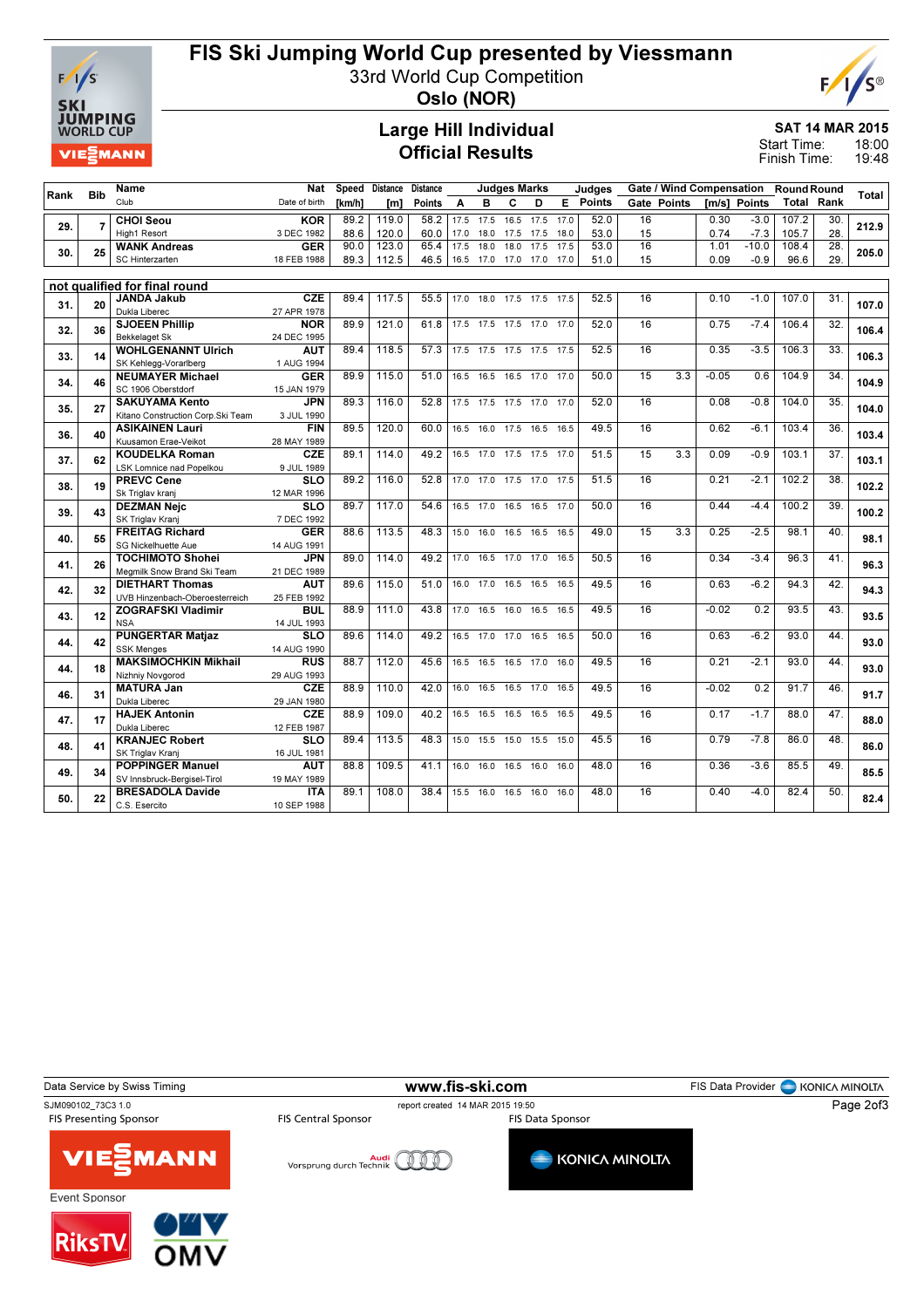

## FIS Ski Jumping World Cup presented by Viessmann

33rd World Cup Competition



Oslo (NOR)

### Large Hill Individual Official Results

SAT 14 MAR 2015

18:00 19:48 Start Time: Finish Time:

|      | <b>Bib</b>     | Name                                                   | Nat                       |               | Speed Distance | <b>Distance</b> |      | <b>Judges Marks</b><br>Judges |                |           |         |        | Gate / Wind Compensation Round Round |                    |         |              |       |                   |       |
|------|----------------|--------------------------------------------------------|---------------------------|---------------|----------------|-----------------|------|-------------------------------|----------------|-----------|---------|--------|--------------------------------------|--------------------|---------|--------------|-------|-------------------|-------|
| Rank |                | Club                                                   | Date of birth             | <b>Tkm/h1</b> | [m]            | Points A        |      | в                             | C              | D         | E.      | Points |                                      | <b>Gate Points</b> |         | Im/s1 Points |       | <b>Total Rank</b> | Total |
|      |                | <b>CHOI Seou</b>                                       | <b>KOR</b>                | 89.2          | 119.0          | 58.2            | 17.5 | 17.5                          | 16.5           | 17.5      | 17.0    | 52.0   | 16                                   |                    | 0.30    | $-3.0$       | 107.2 | 30.               |       |
| 29.  | $\overline{7}$ | High1 Resort                                           | 3 DEC 1982                | 88.6          | 120.0          | 60.0            | 17.0 |                               | 18.0 17.5 17.5 |           | 18.0    | 53.0   | 15                                   |                    | 0.74    | $-7.3$       | 105.7 | 28.               | 212.9 |
| 30.  | 25             | <b>WANK Andreas</b>                                    | <b>GER</b>                | 90.0          | 123.0          | 65.4            | 17.5 | 18.0                          | 18.0           | 17.5      | 17.5    | 53.0   | $\overline{16}$                      |                    | 1.01    | $-10.0$      | 108.4 | 28.               | 205.0 |
|      |                | SC Hinterzarten                                        | 18 FEB 1988               | 89.3          | 112.5          | 46.5            |      | 16.5 17.0 17.0 17.0 17.0      |                |           |         | 51.0   | 15                                   |                    | 0.09    | $-0.9$       | 96.6  | 29.               |       |
|      |                |                                                        |                           |               |                |                 |      |                               |                |           |         |        |                                      |                    |         |              |       |                   |       |
|      |                | not qualified for final round                          |                           |               |                |                 |      |                               |                |           |         |        |                                      |                    |         |              |       |                   |       |
| 31.  | 20             | <b>JANDA Jakub</b>                                     | <b>CZE</b>                | 89.4          | 117.5          | 55.5            |      | 17.0 18.0 17.5 17.5 17.5      |                |           |         | 52.5   | 16                                   |                    | 0.10    | $-1.0$       | 107.0 | 31.               | 107.0 |
|      |                | Dukla Liberec                                          | 27 APR 1978               |               |                |                 |      |                               |                |           |         |        |                                      |                    |         |              |       |                   |       |
| 32.  | 36             | <b>SJOEEN Phillip</b>                                  | <b>NOR</b>                | 89.9          | 121.0          | 61.8            |      | 17.5 17.5 17.5 17.0 17.0      |                |           |         | 52.0   | 16                                   |                    | 0.75    | $-7.4$       | 106.4 | 32.               | 106.4 |
|      |                | <b>Bekkelaget Sk</b><br><b>WOHLGENANNT Ulrich</b>      | 24 DEC 1995<br><b>AUT</b> | 89.4          | 118.5          | 57.3            |      | 17.5 17.5 17.5 17.5 17.5      |                |           |         | 52.5   | 16                                   |                    | 0.35    | $-3.5$       | 106.3 | 33.               |       |
| 33.  | 14             | SK Kehlegg-Vorarlberg                                  | 1 AUG 1994                |               |                |                 |      |                               |                |           |         |        |                                      |                    |         |              |       |                   | 106.3 |
|      |                | <b>NEUMAYER Michael</b>                                | <b>GER</b>                | 89.9          | 115.0          | 51.0            |      | 16.5 16.5 16.5 17.0 17.0      |                |           |         | 50.0   | 15                                   | 3.3                | $-0.05$ | 0.6          | 104.9 | 34.               |       |
| 34.  | 46             | SC 1906 Oberstdorf                                     | 15 JAN 1979               |               |                |                 |      |                               |                |           |         |        |                                      |                    |         |              |       |                   | 104.9 |
|      |                | <b>SAKUYAMA Kento</b>                                  | <b>JPN</b>                | 89.3          | 116.0          | 52.8            |      | 17.5 17.5 17.5 17.0 17.0      |                |           |         | 52.0   | 16                                   |                    | 0.08    | $-0.8$       | 104.0 | 35.               |       |
| 35.  | 27             | Kitano Construction Corp.Ski Team                      | 3 JUL 1990                |               |                |                 |      |                               |                |           |         |        |                                      |                    |         |              |       |                   | 104.0 |
|      |                | <b>ASIKAINEN Lauri</b>                                 | <b>FIN</b>                | 89.5          | 120.0          | 60.0            |      | 16.5 16.0 17.5 16.5 16.5      |                |           |         | 49.5   | 16                                   |                    | 0.62    | $-6.1$       | 103.4 | 36.               |       |
| 36.  | 40             | Kuusamon Erae-Veikot                                   | 28 MAY 1989               |               |                |                 |      |                               |                |           |         |        |                                      |                    |         |              |       |                   | 103.4 |
| 37.  | 62             | <b>KOUDELKA Roman</b>                                  | <b>CZE</b>                | 89.1          | 114.0          | 49.2            |      | 16.5 17.0 17.5 17.5 17.0      |                |           |         | 51.5   | $\overline{15}$                      | 3.3                | 0.09    | $-0.9$       | 103.1 | $\overline{37}$ . | 103.1 |
|      |                | LSK Lomnice nad Popelkou                               | 9 JUL 1989                |               |                |                 |      |                               |                |           |         |        |                                      |                    |         |              |       |                   |       |
| 38.  | 19             | <b>PREVC Cene</b>                                      | <b>SLO</b>                | 89.2          | 116.0          | 52.8            |      | 17.0 17.0 17.5 17.0 17.5      |                |           |         | 51.5   | 16                                   |                    | 0.21    | $-2.1$       | 102.2 | 38                | 102.2 |
|      |                | Sk Triglav kranj                                       | 12 MAR 1996               |               |                |                 |      |                               |                |           |         |        |                                      |                    |         |              |       |                   |       |
| 39.  | 43             | <b>DEZMAN Nejc</b>                                     | <b>SLO</b>                | 89.7          | 117.0          | 54.6            |      | 16.5 17.0 16.5 16.5           |                |           | $-17.0$ | 50.0   | 16                                   |                    | 0.44    | $-4.4$       | 100.2 | 39.               | 100.2 |
|      |                | SK Triglav Kranj                                       | 7 DEC 1992                |               |                |                 |      |                               |                |           |         |        |                                      |                    |         |              |       |                   |       |
| 40.  | 55             | <b>FREITAG Richard</b>                                 | <b>GER</b>                | 88.6          | 113.5          | 48.3            |      | 15.0 16.0 16.5                |                | 16.5      | 16.5    | 49.0   | 15                                   | 3.3                | 0.25    | $-2.5$       | 98.1  | 40.               | 98.1  |
|      |                | <b>SG Nickelhuette Aue</b>                             | 14 AUG 1991               |               |                |                 | 17.0 |                               |                |           | 16.5    |        | 16                                   |                    |         |              |       |                   |       |
| 41.  | 26             | <b>TOCHIMOTO Shohei</b><br>Megmilk Snow Brand Ski Team | <b>JPN</b><br>21 DEC 1989 | 89.0          | 114.0          | 49.2            |      |                               | 16.5 17.0 17.0 |           |         | 50.5   |                                      |                    | 0.34    | $-3.4$       | 96.3  | 41.               | 96.3  |
|      |                | <b>DIETHART Thomas</b>                                 | <b>AUT</b>                | 89.6          | 115.0          | 51.0            | 16.0 | 17.0                          | 16.5           | 16.5      | 16.5    | 49.5   | 16                                   |                    | 0.63    | $-6.2$       | 94.3  | 42.               |       |
| 42.  | 32             | UVB Hinzenbach-Oberoesterreich                         | 25 FEB 1992               |               |                |                 |      |                               |                |           |         |        |                                      |                    |         |              |       |                   | 94.3  |
|      |                | <b>ZOGRAFSKI Vladimir</b>                              | <b>BUL</b>                | 88.9          | 111.0          | 43.8            | 17.0 | 16.5 16.0                     |                | 16.5      | 16.5    | 49.5   | 16                                   |                    | $-0.02$ | 0.2          | 93.5  | 43.               |       |
| 43.  | 12             | <b>NSA</b>                                             | 14 JUL 1993               |               |                |                 |      |                               |                |           |         |        |                                      |                    |         |              |       |                   | 93.5  |
|      |                | <b>PUNGERTAR Matjaz</b>                                | <b>SLO</b>                | 89.6          | 114.0          | 49.2            |      | 16.5 17.0 17.0                |                | 16.5      | 16.5    | 50.0   | 16                                   |                    | 0.63    | $-6.2$       | 93.0  | 44.               |       |
| 44.  | 42             | <b>SSK Menges</b>                                      | 14 AUG 1990               |               |                |                 |      |                               |                |           |         |        |                                      |                    |         |              |       |                   | 93.0  |
| 44.  | 18             | <b>MAKSIMOCHKIN Mikhail</b>                            | <b>RUS</b>                | 88.7          | 112.0          | 45.6            |      | 16.5 16.5 16.5 17.0           |                |           | 16.0    | 49.5   | 16                                   |                    | 0.21    | $-2.1$       | 93.0  | 44.               | 93.0  |
|      |                | Nizhniy Novgorod                                       | 29 AUG 1993               |               |                |                 |      |                               |                |           |         |        |                                      |                    |         |              |       |                   |       |
| 46.  | 31             | <b>MATURA Jan</b>                                      | CZE                       | 88.9          | 110.0          | 42.0            | 16.0 |                               | 16.5 16.5 17.0 |           | 16.5    | 49.5   | 16                                   |                    | $-0.02$ | 0.2          | 91.7  | 46.               | 91.7  |
|      |                | Dukla Liberec                                          | 29 JAN 1980               |               |                |                 |      |                               |                |           |         |        |                                      |                    |         |              |       |                   |       |
| 47.  | 17             | <b>HAJEK Antonin</b>                                   | <b>CZE</b>                | 88.9          | 109.0          | 40.2            |      | 16.5 16.5 16.5 16.5 16.5      |                |           |         | 49.5   | 16                                   |                    | 0.17    | $-1.7$       | 88.0  | 47.               | 88.0  |
|      |                | Dukla Liberec                                          | 12 FEB 1987               |               |                |                 |      |                               |                |           |         |        |                                      |                    |         |              |       |                   |       |
| 48.  | 41             | <b>KRANJEC Robert</b>                                  | <b>SLO</b>                | 89.4          | 113.5          | 48.3            |      | 15.0 15.5 15.0 15.5 15.0      |                |           |         | 45.5   | 16                                   |                    | 0.79    | $-7.8$       | 86.0  | 48.               | 86.0  |
|      |                | SK Triglav Kranj                                       | 16 JUL 1981               | 88.8          | 109.5          | 41.1            |      |                               |                |           | 16.0    | 48.0   | 16                                   |                    | 0.36    | $-3.6$       | 85.5  |                   |       |
| 49.  | 34             | <b>POPPINGER Manuel</b><br>SV Innsbruck-Bergisel-Tirol | <b>AUT</b>                |               |                |                 | 16.0 | 16.0                          |                | 16.5 16.0 |         |        |                                      |                    |         |              |       | 49.               | 85.5  |
|      |                | <b>BRESADOLA Davide</b>                                | 19 MAY 1989<br><b>ITA</b> | 89.1          | 108.0          | 38.4            |      | 15.5 16.0 16.5 16.0           |                |           | 16.0    | 48.0   | 16                                   |                    | 0.40    | $-4.0$       | 82.4  | 50.               |       |
| 50.  | 22             |                                                        |                           |               |                |                 |      |                               |                |           |         |        |                                      |                    |         |              |       |                   | 82.4  |
|      |                | C.S. Esercito                                          | 10 SEP 1988               |               |                |                 |      |                               |                |           |         |        |                                      |                    |         |              |       |                   |       |

Data Service by Swiss Timing **Example 20 and Service Constructs Constructs** FIS Data Provider FIS Data Provider **CON** SJM090102\_73C3 1.0 report created 14 MAR 2015 19:50 Page 2of3MANN VIE) **KONICA MINOLTA** Vorsprung durch Technik Event Sponsor **RiksT**